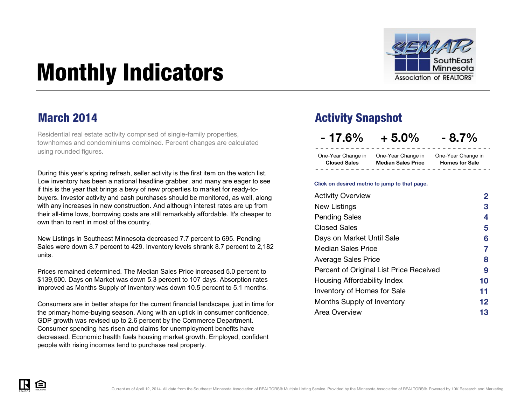

# <span id="page-0-0"></span>Monthly Indicators

Residential real estate activity comprised of single-family properties, townhomes and condominiums combined. Percent changes are calculated using rounded figures.

During this year's spring refresh, seller activity is the first item on the watch list. Low inventory has been a national headline grabber, and many are eager to see if this is the year that brings a bevy of new properties to market for ready-tobuyers. Investor activity and cash purchases should be monitored, as well, along with any increases in new construction. And although interest rates are up from their all-time lows, borrowing costs are still remarkably affordable. It's cheaper to own than to rent in most of the country.

New Listings in Southeast Minnesota decreased 7.7 percent to 695. Pending Sales were down 8.7 percent to 429. Inventory levels shrank 8.7 percent to 2,182 units.

Prices remained determined. The Median Sales Price increased 5.0 percent to \$139,500. Days on Market was down 5.3 percent to 107 days. Absorption rates improved as Months Supply of Inventory was down 10.5 percent to 5.1 months.

Consumers are in better shape for the current financial landscape, just in time for the primary home-buying season. Along with an uptick in consumer confidence, GDP growth was revised up to 2.6 percent by the Commerce Department. Consumer spending has risen and claims for unemployment benefits have decreased. Economic health fuels housing market growth. Employed, confident people with rising incomes tend to purchase real property.

### **March 2014 Activity Snapshot**

**- 17.6% + 5.0% - 8.7%**

One-Year Change in One-Year Change in One-Year Change in **Closed Sales Median Sales Price**

**Homes for Sale**

**Click on desired metric to jump to that page.**

| <b>Activity Overview</b>                | $\overline{\mathbf{2}}$ |
|-----------------------------------------|-------------------------|
| New Listings                            | 3                       |
| <b>Pending Sales</b>                    | 4                       |
| <b>Closed Sales</b>                     | 5                       |
| Days on Market Until Sale               | 6                       |
| <b>Median Sales Price</b>               | 7                       |
| <b>Average Sales Price</b>              | 8                       |
| Percent of Original List Price Received | 9                       |
| Housing Affordability Index             | 10                      |
| <b>Inventory of Homes for Sale</b>      | 11                      |
| Months Supply of Inventory              | 12                      |
| Area Overview                           | 13                      |

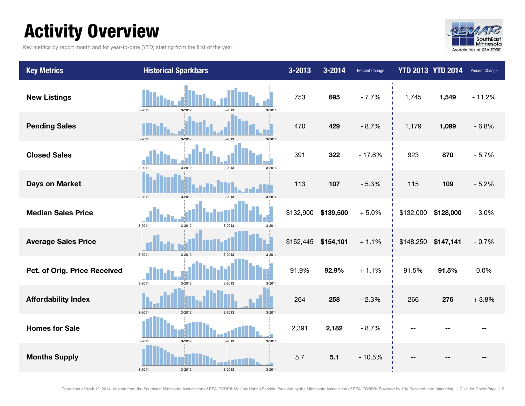### <span id="page-1-0"></span>Activity Overview

Key metrics by report month and for year-to-date (YTD) starting from the first of the year.



| <b>Key Metrics</b>           | <b>Historical Sparkbars</b>                          | $3 - 2013$ | 3-2014    | Percent Change | <b>YTD 2013 YTD 2014</b> |           | Percent Change |
|------------------------------|------------------------------------------------------|------------|-----------|----------------|--------------------------|-----------|----------------|
| <b>New Listings</b>          | 3-2012<br>3-2014<br>$3 - 2011$<br>3-2013             | 753        | 695       | $-7.7%$        | 1,745                    | 1,549     | $-11.2%$       |
| <b>Pending Sales</b>         | $3 - 2011$<br>$3 - 2012$<br>3-2013                   | 470        | 429       | $-8.7%$        | 1,179                    | 1,099     | $-6.8%$        |
| <b>Closed Sales</b>          | 3-2013<br>3-2014<br>3-2012<br>$3 - 2011$             | 391        | 322       | $-17.6%$       | 923                      | 870       | $-5.7%$        |
| <b>Days on Market</b>        | $3 - 2012$<br>$3 - 2011$                             | 113        | 107       | $-5.3%$        | 115                      | 109       | $-5.2%$        |
| <b>Median Sales Price</b>    | $3 - 2011$<br>3-2012<br>3-2013<br>$3 - 2014$         | \$132,900  | \$139,500 | $+5.0%$        | \$132,000                | \$128,000 | $-3.0%$        |
| <b>Average Sales Price</b>   | $3 - 2012$<br>$3 - 2011$<br>$3 - 2013$<br>3-2014     | \$152,445  | \$154,101 | $+1.1%$        | \$148,250 \$147,141      |           | $-0.7%$        |
| Pct. of Orig. Price Received | $3 - 2011$<br>3-2012<br>3-2013<br>3-2014             | 91.9%      | 92.9%     | $+1.1%$        | 91.5%                    | 91.5%     | 0.0%           |
| <b>Affordability Index</b>   | $3 - 2013$<br>$3 - 2011$<br>$3 - 2012$<br>$3 - 2014$ | 264        | 258       | $-2.3%$        | 266                      | 276       | $+3.8%$        |
| <b>Homes for Sale</b>        | 3-2012<br>3-2013<br>3-2014<br>$3 - 2011$             | 2,391      | 2,182     | $-8.7%$        |                          |           |                |
| <b>Months Supply</b>         | 3-2012<br>3-2013<br>$3 - 2011$<br>$3 - 2014$         | 5.7        | 5.1       | $-10.5%$       |                          |           |                |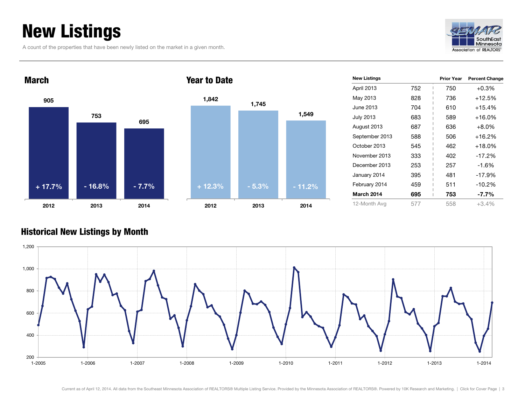### <span id="page-2-0"></span>New Listings

A count of the properties that have been newly listed on the market in a given month.





| 1,842    | 1,745   |          |
|----------|---------|----------|
|          |         | 1,549    |
|          |         |          |
|          |         |          |
|          |         |          |
| $+12.3%$ | $-5.3%$ | $-11.2%$ |
| 2012     | 2013    | 2014     |

| <b>New Listings</b> |     | <b>Prior Year</b> | <b>Percent Change</b> |
|---------------------|-----|-------------------|-----------------------|
| April 2013          | 752 | 750               | $+0.3%$               |
| May 2013            | 828 | 736               | $+12.5%$              |
| June 2013           | 704 | 610               | $+15.4%$              |
| <b>July 2013</b>    | 683 | 589               | $+16.0%$              |
| August 2013         | 687 | 636               | $+8.0\%$              |
| September 2013      | 588 | 506               | $+16.2%$              |
| October 2013        | 545 | 462               | $+18.0\%$             |
| November 2013       | 333 | 402               | $-17.2%$              |
| December 2013       | 253 | 257               | $-1.6%$               |
| January 2014        | 395 | 481               | $-17.9%$              |
| February 2014       | 459 | 511               | $-10.2%$              |
| March 2014          | 695 | 753               | -7.7%                 |
| 12-Month Avg        | 577 | 558               | +3.4%                 |

#### Historical New Listings by Month

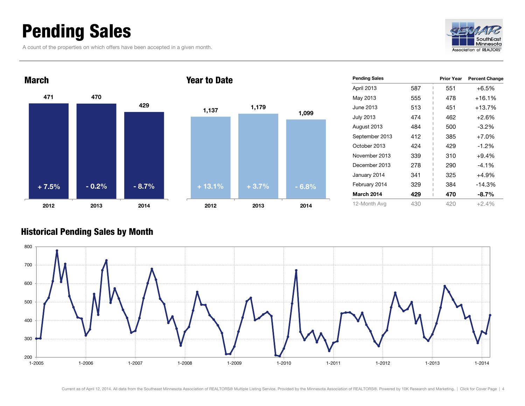### <span id="page-3-0"></span>Pending Sales

A count of the properties on which offers have been accepted in a given month.







| <b>Pending Sales</b> |     | <b>Prior Year</b> | <b>Percent Change</b> |
|----------------------|-----|-------------------|-----------------------|
| April 2013           | 587 | 551               | $+6.5%$               |
| May 2013             | 555 | 478               | $+16.1%$              |
| June 2013            | 513 | 451               | $+13.7%$              |
| <b>July 2013</b>     | 474 | 462               | $+2.6\%$              |
| August 2013          | 484 | 500               | $-3.2\%$              |
| September 2013       | 412 | 385               | $+7.0%$               |
| October 2013         | 424 | 429               | -1.2%                 |
| November 2013        | 339 | 310               | $+9.4%$               |
| December 2013        | 278 | 290               | $-4.1%$               |
| January 2014         | 341 | 325               | +4.9%                 |
| February 2014        | 329 | 384               | $-14.3%$              |
| <b>March 2014</b>    | 429 | 470               | $-8.7\%$              |
| 12-Month Avg         | 430 | 420               | $+2.4%$               |

#### Historical Pending Sales by Month

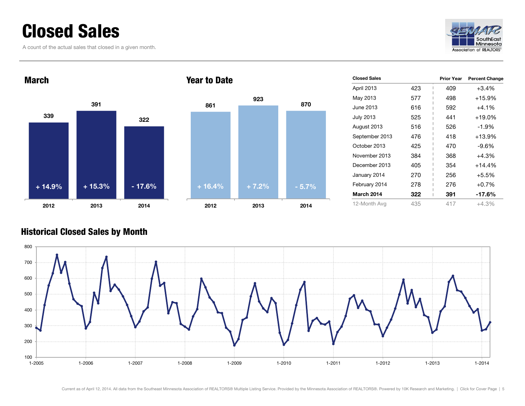### <span id="page-4-0"></span>Closed Sales

A count of the actual sales that closed in a given month.





| 923<br>870<br>861<br>$+7.2%$<br>$+16.4%$<br>$-5.7%$ |
|-----------------------------------------------------|
|                                                     |
|                                                     |
|                                                     |
|                                                     |
|                                                     |
|                                                     |

| <b>Closed Sales</b> |     | <b>Prior Year</b> | <b>Percent Change</b> |
|---------------------|-----|-------------------|-----------------------|
| April 2013          | 423 | 409               | $+3.4%$               |
| May 2013            | 577 | 498               | $+15.9%$              |
| June 2013           | 616 | 592               | $+4.1%$               |
| <b>July 2013</b>    | 525 | 441               | $+19.0\%$             |
| August 2013         | 516 | 526               | $-1.9%$               |
| September 2013      | 476 | 418               | $+13.9%$              |
| October 2013        | 425 | 470               | $-9.6%$               |
| November 2013       | 384 | 368               | $+4.3%$               |
| December 2013       | 405 | 354               | $+14.4%$              |
| January 2014        | 270 | 256               | $+5.5%$               |
| February 2014       | 278 | 276               | $+0.7%$               |
| March 2014          | 322 | 391               | -17.6%                |
| 12-Month Avg        | 435 | 417               | $+4.3%$               |

#### Historical Closed Sales by Month

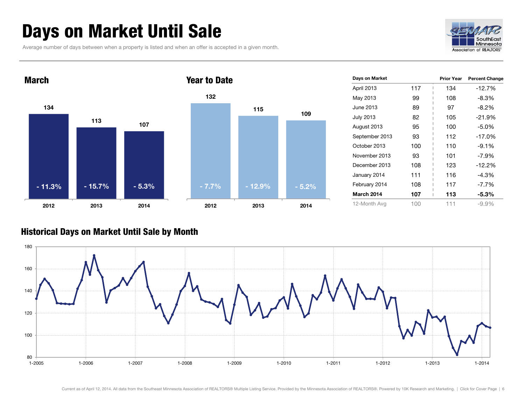### <span id="page-5-0"></span>Days on Market Until Sale

Average number of days between when a property is listed and when an offer is accepted in a given month.





| Days on Market   |     | <b>Prior Year</b> | <b>Percent Change</b> |
|------------------|-----|-------------------|-----------------------|
| April 2013       | 117 | 134               | $-12.7%$              |
| May 2013         | 99  | 108               | $-8.3%$               |
| June 2013        | 89  | 97                | $-8.2%$               |
| <b>July 2013</b> | 82  | 105               | $-21.9%$              |
| August 2013      | 95  | 100               | $-5.0\%$              |
| September 2013   | 93  | 112               | $-17.0%$              |
| October 2013     | 100 | 110               | $-9.1%$               |
| November 2013    | 93  | 101               | $-7.9\%$              |
| December 2013    | 108 | 123               | $-12.2%$              |
| January 2014     | 111 | 116               | $-4.3%$               |
| February 2014    | 108 | 117               | $-7.7\%$              |
| March 2014       | 107 | 113               | $-5.3\%$              |
| 12-Month Avg     | 100 | 111               | $-9.9%$               |

#### Historical Days on Market Until Sale by Month

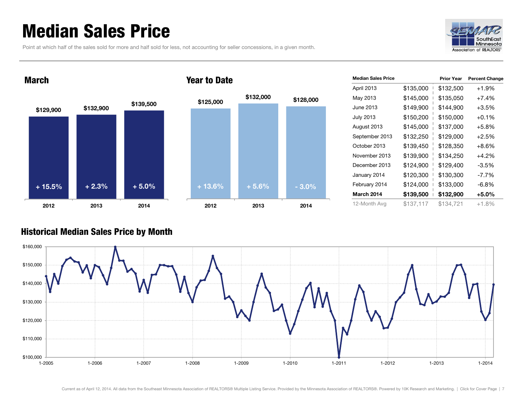### <span id="page-6-0"></span>Median Sales Price

Point at which half of the sales sold for more and half sold for less, not accounting for seller concessions, in a given month.





| <b>Median Sales Price</b> |           | <b>Prior Year</b> | <b>Percent Change</b> |
|---------------------------|-----------|-------------------|-----------------------|
| April 2013                | \$135,000 | \$132,500         | $+1.9%$               |
| May 2013                  | \$145,000 | \$135,050         | $+7.4%$               |
| June 2013                 | \$149,900 | \$144,900         | $+3.5%$               |
| <b>July 2013</b>          | \$150,200 | \$150,000         | $+0.1%$               |
| August 2013               | \$145,000 | \$137,000         | $+5.8%$               |
| September 2013            | \$132,250 | \$129,000         | $+2.5%$               |
| October 2013              | \$139,450 | \$128,350         | +8.6%                 |
| November 2013             | \$139,900 | \$134,250         | $+4.2%$               |
| December 2013             | \$124,900 | \$129,400         | -3.5%                 |
| January 2014              | \$120,300 | \$130,300         | -7.7%                 |
| February 2014             | \$124,000 | \$133,000         | -6.8%                 |
| March 2014                | \$139,500 | \$132,900         | +5.0%                 |
| 12-Month Avg              | \$137,117 | \$134.721         | $+1.8%$               |

#### Historical Median Sales Price by Month

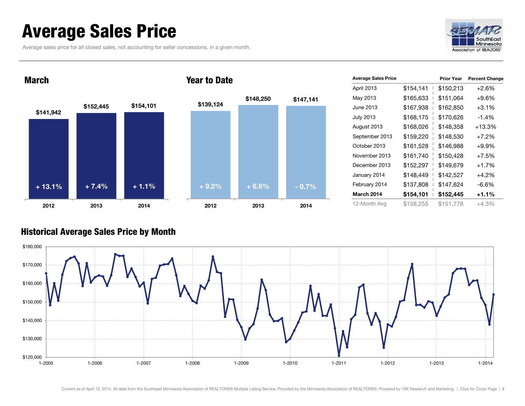### <span id="page-7-0"></span>Average Sales Price

Average sales price for all closed sales, not accounting for seller concessions, in a given month.





| <b>Average Sales Price</b> |           | <b>Prior Year</b> | <b>Percent Change</b> |
|----------------------------|-----------|-------------------|-----------------------|
| April 2013                 | \$154,141 | \$150,213         | $+2.6%$               |
| May 2013                   | \$165,633 | \$151,064         | $+9.6%$               |
| June 2013                  | \$167,938 | \$162,850         | $+3.1%$               |
| <b>July 2013</b>           | \$168,175 | \$170,626         | $-1.4%$               |
| August 2013                | \$168,026 | \$148,358         | +13.3%                |
| September 2013             | \$159,220 | \$148,530         | $+7.2\%$              |
| October 2013               | \$161,528 | \$146,988         | $+9.9%$               |
| November 2013              | \$161,740 | \$150,428         | $+7.5%$               |
| December 2013              | \$152,297 | \$149,679         | $+1.7%$               |
| January 2014               | \$148,449 | \$142,527         | $+4.2%$               |
| February 2014              | \$137,808 | \$147,624         | $-6.6%$               |
| <b>March 2014</b>          | \$154,101 | \$152,445         | $+1.1%$               |
| 12-Month Avg               | \$158,255 | \$151,778         | $+4.3%$               |

#### Historical Average Sales Price by Month

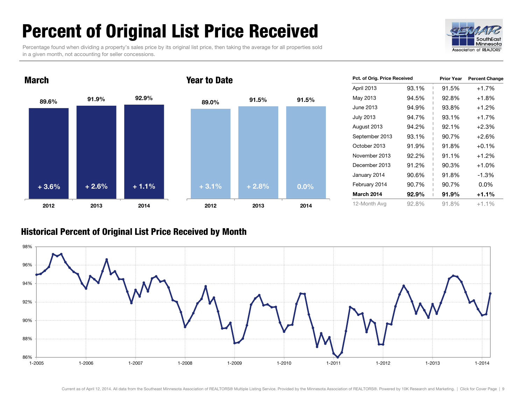### <span id="page-8-0"></span>Percent of Original List Price Received

Percentage found when dividing a property's sales price by its original list price, then taking the average for all properties sold in a given month, not accounting for seller concessions.





| Pct. of Orig. Price Received |       | <b>Prior Year</b> | <b>Percent Change</b> |
|------------------------------|-------|-------------------|-----------------------|
| April 2013                   | 93.1% | 91.5%             | $+1.7%$               |
| May 2013                     | 94.5% | 92.8%             | $+1.8%$               |
| June 2013                    | 94.9% | 93.8%             | $+1.2%$               |
| <b>July 2013</b>             | 94.7% | 93.1%             | $+1.7%$               |
| August 2013                  | 94.2% | 92.1%             | $+2.3%$               |
| September 2013               | 93.1% | 90.7%             | $+2.6%$               |
| October 2013                 | 91.9% | 91.8%             | $+0.1%$               |
| November 2013                | 92.2% | 91.1%             | $+1.2%$               |
| December 2013                | 91.2% | 90.3%             | $+1.0%$               |
| January 2014                 | 90.6% | 91.8%             | $-1.3%$               |
| February 2014                | 90.7% | 90.7%             | $0.0\%$               |
| March 2014                   | 92.9% | 91.9%             | $+1.1%$               |
| 12-Month Avg                 | 92.8% | 91.8%             | $+1.1%$               |

#### Historical Percent of Original List Price Received by Month

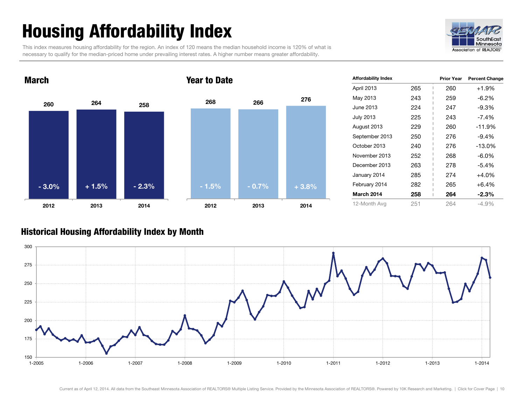## <span id="page-9-0"></span>Housing Affordability Index

This index measures housing affordability for the region. An index of 120 means the median household income is 120% of what is necessary to qualify for the median-priced home under prevailing interest rates. A higher number means greater affordability.





| <b>Affordability Index</b> |     | <b>Prior Year</b> | <b>Percent Change</b> |
|----------------------------|-----|-------------------|-----------------------|
| April 2013                 | 265 | 260               | $+1.9%$               |
| May 2013                   | 243 | 259               | -6.2%                 |
| June 2013                  | 224 | 247               | $-9.3\%$              |
| July 2013                  | 225 | 243               | $-7.4\%$              |
| August 2013                | 229 | 260               | $-11.9%$              |
| September 2013             | 250 | 276               | $-9.4%$               |
| October 2013               | 240 | 276               | $-13.0\%$             |
| November 2013              | 252 | 268               | $-6.0\%$              |
| December 2013              | 263 | 278               | $-5.4%$               |
| January 2014               | 285 | 274               | $+4.0%$               |
| February 2014              | 282 | 265               | $+6.4%$               |
| March 2014                 | 258 | 264               | $-2.3%$               |
| 12-Month Avg               | 251 | 264               | -4.9%                 |

#### Historical Housing Affordability Index by Month

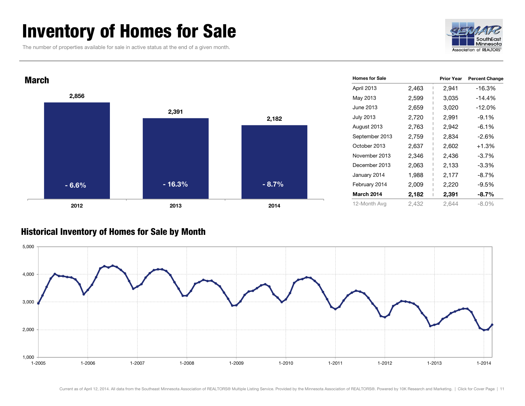### <span id="page-10-0"></span>Inventory of Homes for Sale

The number of properties available for sale in active status at the end of a given month.





#### Historical Inventory of Homes for Sale by Month

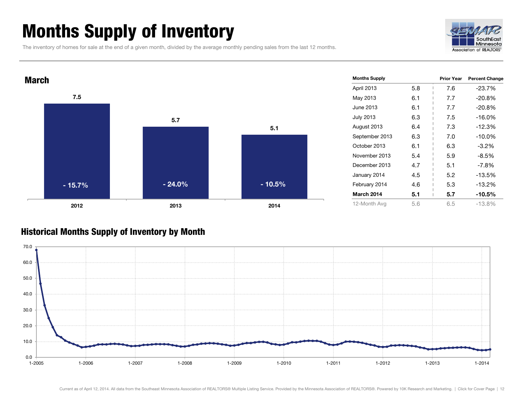### <span id="page-11-0"></span>Months Supply of Inventory

The inventory of homes for sale at the end of a given month, divided by the average monthly pending sales from the last 12 months.





#### Historical Months Supply of Inventory by Month